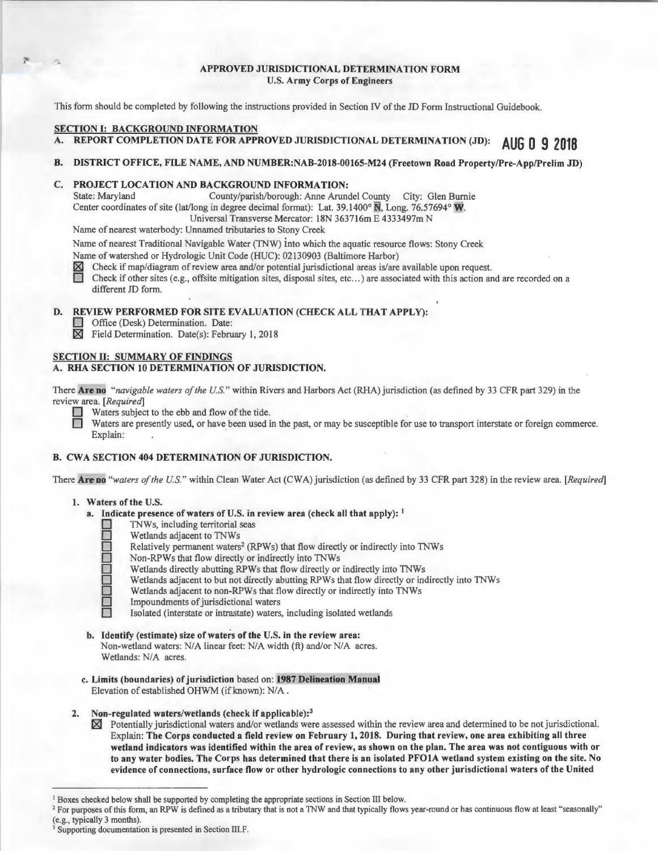# APPROVED JURISDICTIONAL DETERMINATION FORM U.S. Army Corps of Engineers

This form should be completed by following the instructions provided in Section IV of the JD Form Instructional Guidebook.

# SECTION I: BACKGROUND INFORMATION

REPORT COMPLETION DATE FOR APPROVED JURISDICTIONAL DETERMINATION (JD): AUG 0 9 2018

#### B. DISTRICT OFFICE, FILE NAME, AND NUMBER:NAB-2018-00165-M24 (Freetown Road Property/Pre-App/Prelim JD)

## C. PROJECT LOCATION AND BACKGROUND INFORMATION:

State: Maryland County/parish/borough: Anne Arundel County City: Glen Burnie Center coordinates of site (lat/long in degree decimal format): Lat. 39.1400 $\degree$  N, Long. 76.57694 $\degree$  W. Universal Transverse Mercator: 18N 363716m E 4333497m N

Name of nearest waterbody: Unnamed tributaries to Stony Creek

Name of nearest Traditional Navigable Water (TNW) into which the aquatic resource flows: Stony Creek

Name of watershed or Hydrologic Unit Code (HUC): 02130903 (Baltimore Harbor)  $\boxtimes$  Check if map/diagram of review area and/or potential jurisdictional areas is/are<br>
Check if other sites (e.g., offsite mitigation sites, di

~ Check if map/diagram of review area and/or potential jurisdictional areas is/are available upon request.

0 Check if other sites (e.g., offsite mitigation sites, disposal sites, etc ... ) are associated with this action and are recorded on a different JD form.

# D. REVIEW PERFORMED FOR SITE EVALUATION (CHECK ALL THAT APPLY):

Office (Desk) Determination. Date:

 $\boxtimes$  Field Determination. Date(s): February 1, 2018

#### SECTION II: SUMMARY OF FINDINGS A. RHA SECTION 10 DETERMINATION OF JURISDICTION.

There Are no *"navigable waters of the U.S. "* within Rivers and Harbors Act (RHA) jurisdiction (as defined by 33 CFR part 329) in the review area. *[Required]* 

■ Waters subject to the ebb and flow of the tide.<br>■ Waters are presently used, or have been used in the past, or may be susceptible for use to transport interstate or foreign commerce. Explain:

#### B. CWA SECTION 404 DETERMINATION OF JURISDICTION.

There Are no *"waters of the U.S."* within Clean Water Act (CWA) jurisdiction (as defined by 33 CFR part 328) in the review area. *[Required]* 

#### I. Waters of the U.S.

- a. Indicate presence of waters of U.S. in review area (check all that apply):  $<sup>1</sup>$ </sup>
	- **D** TNWs, including territorial seas
	- D Wetlands adjacent to TNWs<br>
	Relatively permanent waters<br>
	Non-RPWs that flow directly
		- Relatively permanent waters<sup>2</sup> (RPWs) that flow directly or indirectly into TNWs
		- Non-RPWs that flow directly or indirectly into TNWs
		- Wetlands directly abutting RPWs that flow directly or indirectly into TNWs
		- Wetlands adjacent to but not directly abutting RPWs that flow directly or indirectly into TNWs
		- Wetlands adjacent to non-RPWs that flow directly or indirectly into TNWs
		- Impoundments of jurisdictional waters
		- Isolated (interstate or intrastate) waters, including isolated wetlands
- b. Identify (estimate) size of waters of the U.S. in the review area: Non-wetland waters: N/A linear feet: N/A width (ft) and/or N/A acres. Wetlands: N/A acres.
- c. Limits (boundaries) of jurisdiction based on: 1987 Delineation Manual Elevation of established OHWM (if known): N/A.

# 2. Non-regulated waters/wetlands (check if applicable):<sup>3</sup>

 $\boxtimes$  Potentially jurisdictional waters and/or wetlands were assessed within the review area and determined to be not jurisdictional. Explain: The Corps conducted a field review on February 1, 2018. During that review, one area exhibiting all three wetland indicators was identified within the area of review, as shown on the plan. The area was not contiguous with or to any water bodies. The Corps has determined that there is an isolated PFOIA wetland system existing on the site. No evidence of connections, surface flow or other hydrologic connections to any other jurisdictional waters of the United

<sup>&</sup>lt;sup>1</sup> Boxes checked below shall be supported by completing the appropriate sections in Section III below.<br><sup>2</sup> For purposes of this form, an RPW is defined as a tributary that is not a TNW and that typically flows year-round

<sup>(</sup>e.g., typically 3 months).<br><sup>3</sup> Supporting documentation is presented in Section III.F.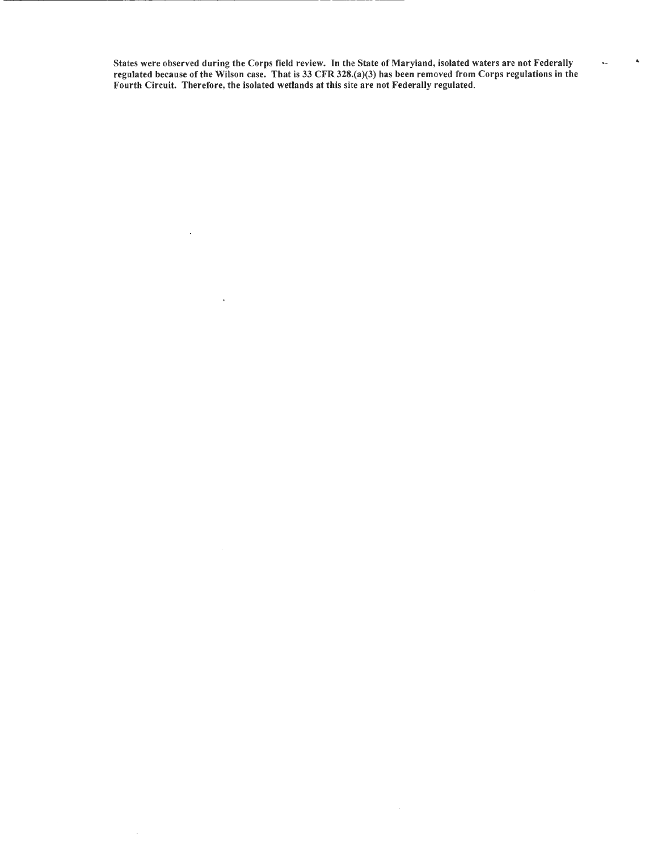States were observed during the Corps field review. Jn the State of Maryland, isolated waters are not Federally regulated because of the Wilson case. That is 33 CFR 328.(a)(3) has been removed from Corps regulations in the Fourth Circuit. Therefore, the isolated wetlands at this site are not Federally regulated.

 $\ddot{\phantom{a}}$ 

 $\bar{\mathcal{L}}$ 

 $\bar{4}$ 

, ..

 $\ddot{\phantom{0}}$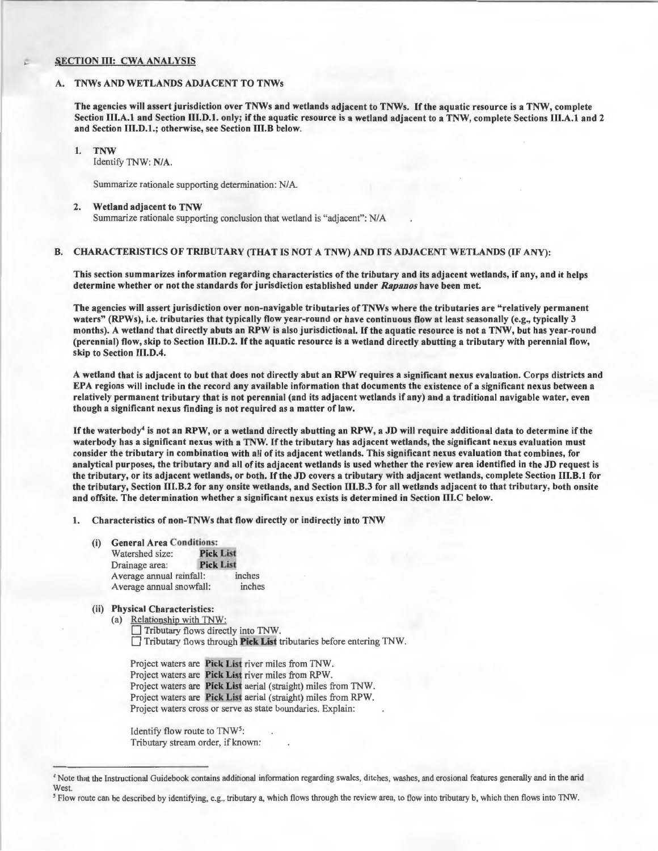# SECTION III: CWA ANALYSIS

# TNWs AND WETLANDS ADJACENT TO TNWs

The agencies will assert jurisdiction over TNWs and wetlands adjacent to TNWs. If the aquatic resource is a TNW, complete Section III.A.1 and Section III.D.1. only; if the aquatic resource is a wetland adjacent to a TNW, complete Sections III.A.1 and 2 and Section 111.D.1.; otherwise, see Section III.B below.

1. TNW Identify TNW: NIA.

Summarize rationale supporting determination: NIA.

#### 2. Wetland adjacent to TNW

Summarize rationale supporting conclusion that wetland is "adjacent": N/A

# B. CHARACTERISTICS OF TRIBUTARY (THAT IS NOT A TNW) AND ITS ADJACENT WETLANDS (IF ANY):

This section summarizes information regarding characteristics of the tributary and its adjacent wetlands, if any, and it helps determine whether or not the standards for jurisdiction established under *Rapanos* have been met.

The agencies will assert jurisdiction over non-navigable tributaries of TNWs where the tributaries are " relatively permanent waters" (RPWs), i.e. tributaries that typically flow year-round or have continuous flow at least seasonally (e.g., typically 3 months). A wetland that directly abuts an RPW is also jurisdictional. If the aquatic resource is not a TNW, but has year-round (perennial) flow, skip to Section 111.D.2. If the aquatic resource is a wetland directly abutting a tributary with perennial flow, skip to Section III.D.4.

A wetland that is adjacent to but that does not directly abut an RPW requires a significant nexus evaluation. Corps districts and EPA regions will include in the record any available information that documents the existence ofa significant nexus between a relatively permanent tributary that is not perennial (and its adjacent wetlands if any) and a traditional navigable water, even though a significant nexus finding is not required as a matter of law.

If the waterbody4 is not an RPW, or a wetland directly abutting an RPW, a JD will require additional data to determine if the waterbody has a significant nexus with a TNW. If the tributary has adjacent wetlands, the significant nexus evaluation must consider the tributary in combination with all of its adjacent wetlands. This significant nexus evaluation that combines, for analytical purposes, the tributary and all of its adjacent wetlands is used whether the review area identified in the JD request is the tributary, or its adjacent wetlands, or both. If the JD covers a tributary with adjacent wetlands, complete Section 111.B.l for the tributary, Section 111.B.2 for any onsite wetlands, and Section IU.B.3 for all wetlands adjacent to that tributary, both onsite and offsite. The determination whether a significant nexus exists is determined in Section IIl.C below.

1. Characteristics of non-TNWs that flow directly or indirectly into TNW

- (i) General Area Conditions:
	- Watershed size: Pick List Drainage area: Pick List Average annual rainfall: inches<br>Average annual snowfall: inches Average annual snowfall:
- (ii) Physical Characteristics:
	- (a) Relationship with TNW: Tributary flows directly into TNW.  $\Box$  Tributary flows through Pick List tributaries before entering TNW.

Project waters are Pick List river miles from TNW. Project waters are Pick List river miles from RPW. Project waters are Pick List aerial (straight) miles from TNW. Project waters are Pick List aerial (straight) miles from RPW. Project waters cross or serve as state boundaries. Explain:

Identify flow route to TNW5: Tributary stream order, if known:

<sup>&</sup>lt;sup>4</sup> Note that the Instructional Guidebook contains additional information regarding swales, ditches, washes, and erosional features generally and in the arid West.

*<sup>5</sup>* Flow route can be described by identifying, e.g., tributary a, which flows through the review area, to flow into tributary b, which then flows into TNW.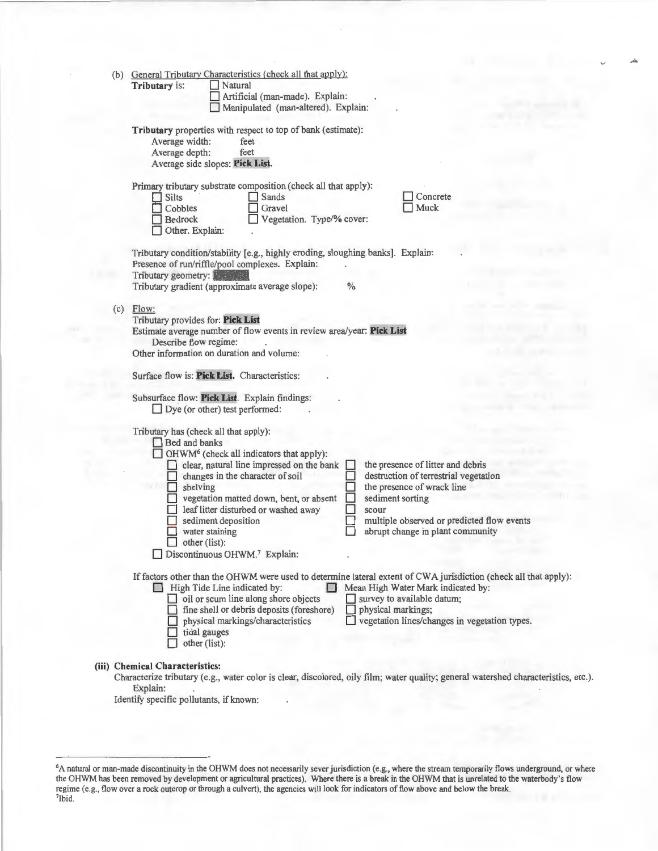| (b) General Tributary Characteristics (check all that apply):<br>Tributary is:<br>Natural<br>Artificial (man-made). Explain:<br>Manipulated (man-altered). Explain:                                                                                                                                                                                                                                                                                                                                                                                                                               |
|---------------------------------------------------------------------------------------------------------------------------------------------------------------------------------------------------------------------------------------------------------------------------------------------------------------------------------------------------------------------------------------------------------------------------------------------------------------------------------------------------------------------------------------------------------------------------------------------------|
| Tributary properties with respect to top of bank (estimate):<br>Average width:<br>feet<br>Average depth:<br>feet<br>Average side slopes: Pick List.                                                                                                                                                                                                                                                                                                                                                                                                                                               |
| Primary tributary substrate composition (check all that apply):<br>Concrete<br>$\Box$ Silts<br>Sands<br>Muck<br>Cobbles<br>Gravel<br>Bedrock<br>Vegetation. Type/% cover:<br>Other. Explain:                                                                                                                                                                                                                                                                                                                                                                                                      |
| Tributary condition/stability [e.g., highly eroding, sloughing banks]. Explain:<br>Presence of run/riffle/pool complexes. Explain:<br>Tributary geometry: Fallen<br>Tributary gradient (approximate average slope):<br>$\frac{0}{0}$                                                                                                                                                                                                                                                                                                                                                              |
| $(c)$ Flow:<br>Tributary provides for: Pick List<br>Estimate average number of flow events in review area/year: Pick List<br>Describe flow regime:<br>Other information on duration and volume:                                                                                                                                                                                                                                                                                                                                                                                                   |
| Surface flow is: Pick List. Characteristics:<br>Subsurface flow: Pick List. Explain findings:<br>$\Box$ Dye (or other) test performed:                                                                                                                                                                                                                                                                                                                                                                                                                                                            |
| Tributary has (check all that apply):<br>Bed and banks<br>$\Box$ OHWM <sup>6</sup> (check all indicators that apply):<br>clear, natural line impressed on the bank<br>the presence of litter and debris<br>destruction of terrestrial vegetation<br>changes in the character of soil<br>the presence of wrack line<br>$\Box$ shelving<br>sediment sorting<br>vegetation matted down, bent, or absent<br>leaf litter disturbed or washed away<br>scour<br>sediment deposition<br>multiple observed or predicted flow events<br>abrupt change in plant community<br>water staining<br>other (list): |
| Discontinuous OHWM.7 Explain:                                                                                                                                                                                                                                                                                                                                                                                                                                                                                                                                                                     |
| If factors other than the OHWM were used to determine lateral extent of CWA jurisdiction (check all that apply):<br>High Tide Line indicated by:<br>Mean High Water Mark indicated by:<br>oil or scum line along shore objects<br>survey to available datum;<br>fine shell or debris deposits (foreshore)<br>physical markings;<br>vegetation lines/changes in vegetation types.<br>physical markings/characteristics<br>tidal gauges<br>other (list):                                                                                                                                            |
| (iii) Chemical Characteristics:<br>Characterize tributary (e.g., water color is clear, discolored, oily film; water quality; general watershed characteristics, etc.).                                                                                                                                                                                                                                                                                                                                                                                                                            |

Explain:

Identify specific pollutants, if known:

<sup>&</sup>lt;sup>6</sup>A natural or man-made discontinuity in the OHWM does not necessarily sever jurisdiction (e.g., where the stream temporarily flows underground, or where the OHWM has been removed by development or agricultural practices). Where there is a break in the OHWM that is unrelated to the waterbody's flow regime (e.g., flow over a rock outcrop or through a culvert), the agencies will look for indicators of flow above and below the break. 7lbid.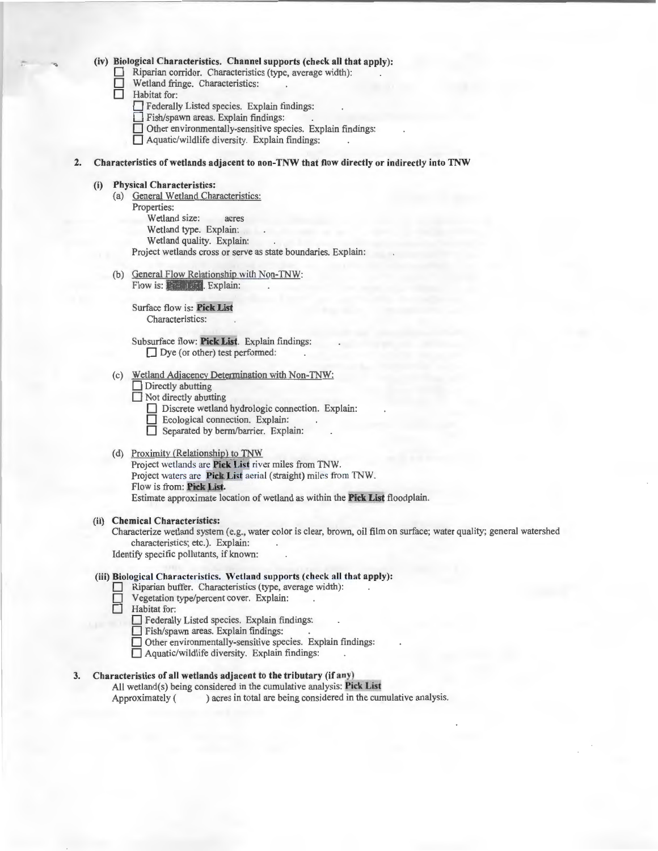### **(iv) Biological Characteristics. Channel supports (check all that apply):**

Riparian corridor. Characteristics (type, average width):

- Wetland fringe. Characteristics:
- **Habitat** for:
	- **D** Federally Listed species. Explain findings:
	- **D** Fish/spawn areas. Explain findings:
	- **D** Other environmentally-sensitive species. Explain findings:
	- **D** Aquatic/wildlife diversity. Explain findings:
- **2. Characteristics of wetlands adj acent to non-TNW that fl ow directly or indirectly into TNW**

#### **(i) Physical Characteristics:**

- (a) General Wetland Characteristics:
	- Properties:
		- Wetland size: acres
		- Wetland type. Explain:
		- Wetland quality. Explain:

Project wetlands cross or serve as state boundaries. Explain:

(b) General Flow Relationship with Non-TNW: Flow is: **Phalacette**, **Explain:** 

Surface flow is: Pick List Characteristics:

Subsurface flow: **Pick List.** Explain findings:  $\Box$  Dye (or other) test performed:

# (c) Wetland Adjacency Determination with Non-TNW:

- $\Box$  Directly abutting
- **D** Not directly abutting
	- Discrete wetland hydrologic connection. Explain:
	- **D** Ecological connection. Explain:
	- **D** Separated by berm/barrier. Explain:

#### (d) Proximity (Relationship) to TNW

Project wetlands are **Pick List** river miles from TNW. Project waters are **Pick List** aerial (straight) miles from TNW. Flow is from: **Fick List.** Estimate approximate location of wetland as within the Pick List floodplain.

# **(ii) Chemical Characteristics:**

Characterize wetland system (e.g., water color is clear, brown, oil film on surface; water quality; general watershed characteristics; etc.). Explain: Identify specific pollutants, if known:

#### (iii) Biological Characteristics. Wetland supports (check all that apply):

- D Riparian buffer. Characteristics (type, average width):
- $\Box$  Vegetation type/percent cover. Explain:<br> $\Box$  Habitat for:
- **Habitat** for:

D Federally Listed species. Explain findings:

- **D** Fish/spawn areas. Explain findings:
- $\Box$  Other environmentally-sensitive species. Explain findings:
- □ Aquatic/wildlife diversity. Explain findings:

# **3. Characteristics of all wetlands adj acent to the tributary (if any)**

All wetland(s) being considered in the cumulative analysis: **Pick List**  Approximately ( ) acres in total are being considered in the cumulative analysis.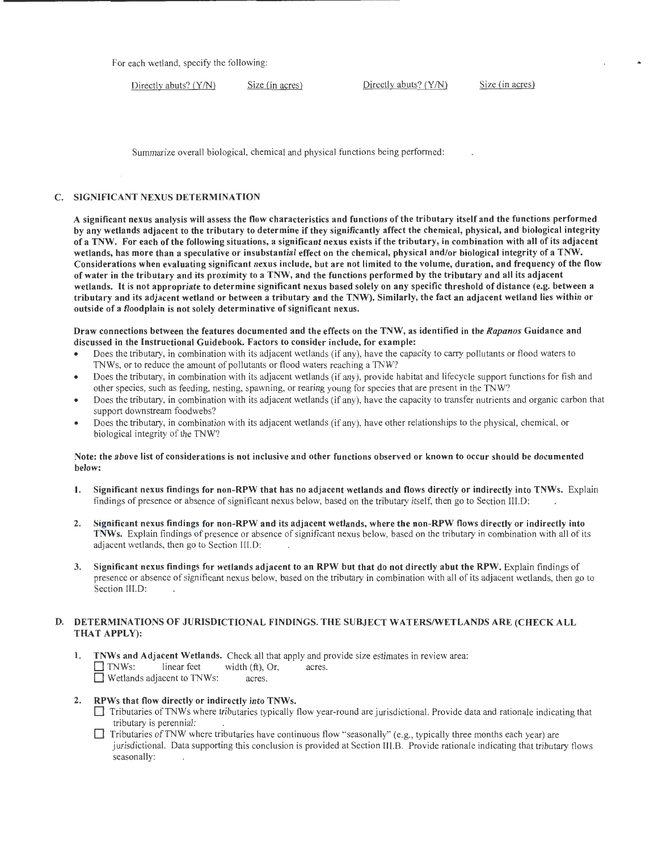For each wetland, specify the following:

Directly abuts? (Y/N) Size (in acres) Directly abuts? (Y/N) Size (in acres)

Summarize overall biological, chemical and physical functions being performed:

# C. SIGNIFICANT NEXUS DETERMINATION

A significant nexus analysis will assess the flow characteristics and functions of the tributary itself and the functions performed by any wetlands adjacent to the tributary to determine if they significantly affect the chemical, physical, and biological integrity of a TNW. For each of the following situations, a significant nexus exists if the tributary, in combination with all of its adjacent wetlands, has more than a speculative or insubstantial effect on the chemical, physical and/or biological integrity of a TNW. Considerations when evaluating significant nexus include, but are not limited to the volume, duration, and frequency of the flow of water in the tributary and its proximity to a TNW, and the functions performed by the tributary and all its adjacent wetlands. It is not appropriate to determine significant nexus based solely on any specific threshold of distance (e.g. between a tributary and its adjacent wetland or between a tributary and the TNW). Similarly, the fact an adjacent wetland lies within or outside of a floodplain is not solely determinative of significant nexus.

# Draw connections between the features documented and the effects on the TNW, as identified in the Rapanos Guidance and discussed in the Instructional Guidebook. Factors to consider include, for example:

- Does the tributary, in combination with its adjacent wetlands (if any), have the capacity to carry pollutants or flood waters to TNWs, or to reduce the amount of pollutants or flood waters reaching a TNW?
- Does the tributary, in combination with its adjacent wetlands (if any), provide habitat and lifecycle support functions for fish and other species, such as feeding, nesting, spawning, or rearing young for species that are present in the TNW?
- Does the tributary, in combination with its adjacent wetlands (if any), have the capacity to transfer nutrients and organic carbon that support downstream foodwebs?
- Does the tributary, in combination with its adjacent wetlands (if any), have other relationships to the physical, chemical, or biological integrity of the TNW?

# Note: the above list of considerations is not inclusive and other functions observed or known to occur should be documented below:

- 1. Significant nexus findings for non-RPW that has no adjacent wetlands and flows directly or indirectly into TNWs. Explain findings of presence or absence of significant nexus below, based on the tributary itself, then go to Section III.D:
- 2. Significant nexus findings for non-RPW and its adjacent wetlands, where the non-RPW flows directly or indirectly into TNWs. Explain findings of presence or absence of significant nexus below, based on the tributary in combination with all of its adjacent wetlands, then go to Section Ill.D:
- 3. Significant nexus findings for wetlands adjacent to an RPW but that do not directly abut the RPW. Explain findings of presence or absence of significant nexus below, based on the tributary in combination with all of its adjacent wetlands, then go to Section III.D:

# D. DETERMINATIONS OF JURISDICTIONAL FINDINGS. THE SUBJECT WATERS/WETLANDS ARE (CHECK ALL THAT APPLY):

1. TNWs and Adjacent Wetlands. Check all that apply and provide size estimates in review area:  $\Box$  TNWs: linear feet width (ft), Or, acres. **D** Wetlands adjacent to TNWs: acres.

# 2. RPWs that flow directly or indirectly into TNWs.

- Tributaries of TNWs where tributaries typically flow year-round are jurisdictional. Provide data and rationale indicating that tributary is perennial:
- D Tributaries ofTNW where tributaries have continuous flow "seasonally" (e.g., typically three months each year) are jurisdictional. Data supporting this conclusion is provided at Section III.B. Provide rationale indicating that tributary flows seasonally: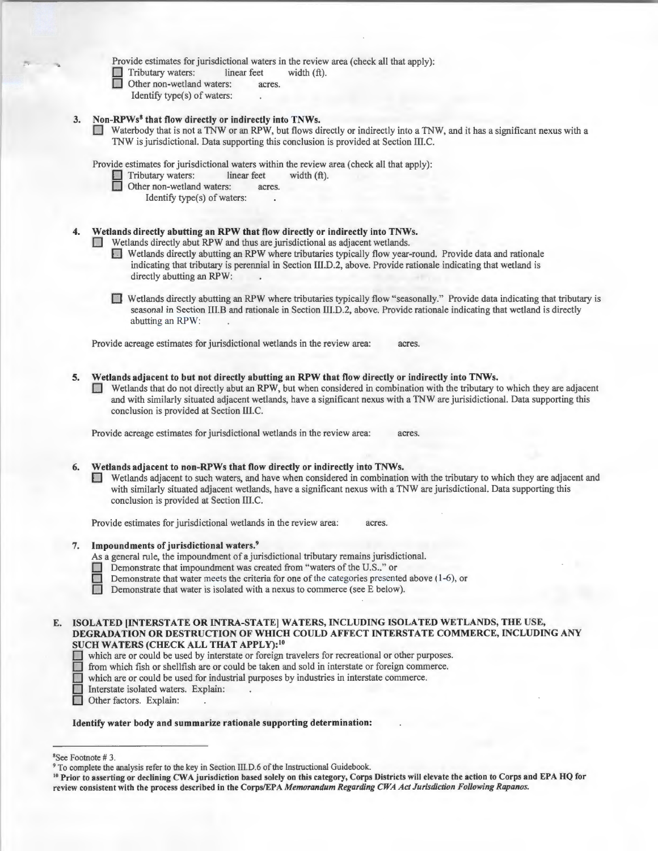Provide estimates for jurisdictional waters in the review area (check all that apply):

 $\Box$  Tributary waters: linear feet width (ft).<br> $\Box$  Other non-wetland waters: acres.

- Other non-wetland waters: acres.
- Identify type(s) of waters:

# Non-RPWs<sup>8</sup> that flow directly or indirectly into TNWs.

D Waterbody that is not a TNW or an RPW, but flows directly or indirectly into a TNW, and it has a significant nexus with a TNW is jurisdictional. Data supporting this conclusion is provided at Section III.C.

Provide estimates for jurisdictional waters within the review area (check all that apply):

Tributary waters: linear feet width (ft).

- Other non-wetland waters: acres.
	- Identify type(s) of waters:

# 4. Wetlands directly abutting an RPW that flow directly or indirectly into TNWs.

- Wetlands directly abut RPW and thus are jurisdictional as adjacent wetlands.
- D Wetlands directly abutting an RPW where tributaries typically flow year-round. Provide data and rationale indicating that tributary is perennial in Section III.D.2, above. Provide rationale indicating that wetland is directly abutting an RPW:
- 0 Wetlands directly abutting an RPW where tributaries typ ically flow "seasonally." Provide data indicating that tributary is seasonal in Section III.B and rationale in Section III.D.2, above. Provide rationale indicating that wetland is directly abutting an RPW:

Provide acreage estimates for jurisdictional wetlands in the review area: acres

5. Wetlands adjacent to but not directly abutting an RPW that flow directly or indirectly into TNWs. 0 Wetlands that do not directly abut an RPW, but when considered in combination with the tributary to which they are adjacent and with similarly situated adjacent wetlands, have a significant nexus with a TNW are jurisidictional. Data supporting this conclusion is provided at Section III.C.

Provide acreage estimates for jurisdictional wetlands in the review area: acres.

# 6. Wetlands adjacent to non-RPWs that flow directly or indirectly into TNWs.

0 Wetlands adjacent to such waters, and have when considered in combination with the tributary to which they are adjacent and with similarly situated adjacent wetlands, have a significant nexus with a TNW are jurisdictional. Data supporting this conclusion is provided at Section III.C.

Provide estimates for jurisdictional wetlands in the review area: acres.

### 7. Impoundments of jurisdictional waters. 9

As a general rule, the impoundment of a jurisdictional tributary remains jurisdictional.

- Demonstrate that impoundment was created from "waters of the U.S.," or
- **Demonstrate that water meets the criteria for one of the categories presented above (1-6), or Demonstrate that water is isolated with a nexus to commerce (see E below).** 
	- Demonstrate that water is isolated with a nexus to commerce (see E below).

# E. ISOLATED [INTERSTATE OR INTRA-STATE] WATERS, INCLUDING ISOLATED WETLANDS, THE USE, DEGRADATION OR DESTRUCTION OF WHICH COULD AFFECT INTERSTATE COMMERCE, INCLUDING ANY SUCH WATERS (CHECK ALL THAT APPLY): 10

- SUCH WATERS (CHECK ALL THAT AFFLI):<br>
which are or could be used by interstate or foreign travelers for recreational or other purposes.
- D from which fish or shellfish are or could be taken and sold in interstate or fore ign commerce.
- $\Box$  which are or could be used for industrial purposes by industries in interstate commerce.
- Interstate isolated waters. Explain:
- Other factors. Explain:

# Identify water body and summarize rationale supporting determination:

<sup>8</sup>See Footnote #3.

<sup>&</sup>lt;sup>9</sup> To complete the analysis refer to the key in Section III.D.6 of the Instructional Guidebook.<br><sup>10</sup> Prior to asserting or declining CWA jurisdiction based solely on this category, Corps Districts will elevate the action review consistent with the process described in the Corps/EPA Memorandum Regarding CWA Act Jurisdiction Following Rapanos.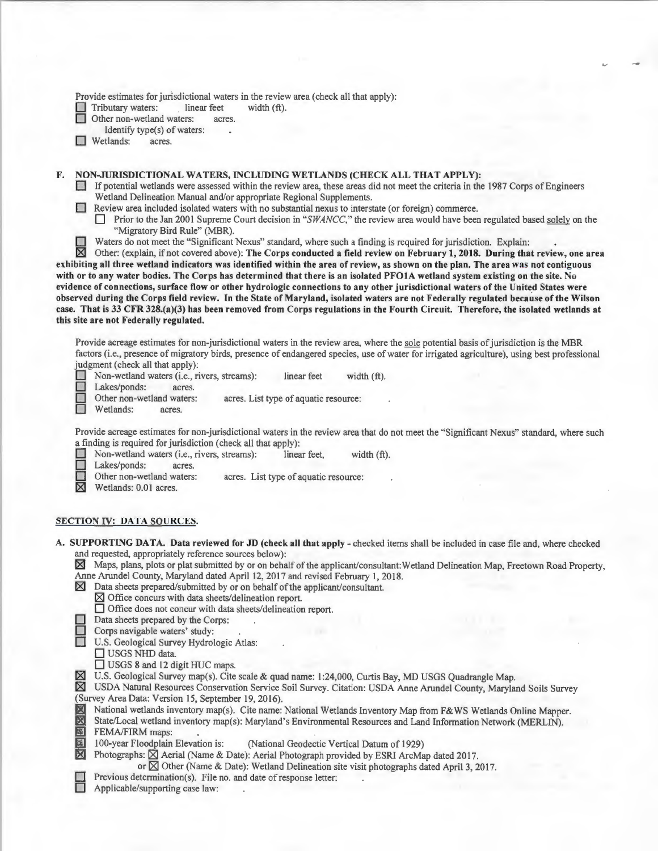Provide estimates for jurisdictional waters in the review area (check all that apply):

Tributary waters: linear feet width (ft).

Other non-wetland waters: acres.

Identify type(s) of waters:

**D** Wetlands: acres.

# F. NON-JURISDICTIONAL WATERS, INCLUDING WETLANDS (CHECK ALL THAT APPLY):

D If potential wetlands were assessed within the review area, these areas did not meet the criteria in the 1987 Corps of Engineers Wetland Delineation Manual and/or appropriate Regional Supplements.

0 Review area included isolated waters with no substantial nexus to interstate (or foreign) commerce.

□ Prior to the Jan 2001 Supreme Court decision in "SWANCC," the review area would have been regulated based solely on the "Migratory Bird Rule" (MBR).

Waters do not meet the "Significant Nexus" standard, where such a finding is required for jurisdiction. Explain:

 $\boxtimes$  Other: (explain, if not covered above): The Corps conducted a field review on February 1, 2018. During that review, one area exhibiting all three wetland indicators was identified within the area of review, as shown on the plan. The area was not contiguous with or to any water bodies. The Corps has determined that there is an isolated PFOIA wetland system existing on the site. No evidence of connections, surface flow or other hydrologic connections to any other jurisdictional waters of the United States were observed during the Corps field review. In the State of Maryland, isolated waters are not Federally regulated because of the Wilson case. That is 33 CFR 328.(a)(3) has been removed from Corps regulations in the Fourth Circuit. Therefore, the isolated wetlands at this site are not Federally regulated.

Provide acreage estimates for non-jurisdictional waters in the review area, where the sole potential basis of jurisdiction is the MBR factors (i.e., presence of migratory birds, presence of endangered species, use of water for irrigated agriculture), using best professional judgment (check all that apply):

■ Non-wetland waters (i.e., rivers, streams): linear feet width (ft).<br>■ Lakes/ponds: acres.<br>○ Other non-wetland waters: acres. List type of aquatic resource:

nd waters: acres. List type of aquatic resource: acres.

Wetlands:

Provide acreage estimates for non-jurisdictional waters in the review area that do not meet the "Significant Nexus" standard, where such a finding is required for jurisdiction (check all that apply):

Non-wetland waters (i.e., rivers, streams): linear feet, width (ft).

Lakes/ponds: acres.

Other non-wetland waters: acres. List type of aquatic resource:

 $\times$  Wetlands: 0.01 acres.

# SECTION IV: DATA SOURCES.

A. SUPPORTING DATA. Data reviewed for JD (check all that apply - checked items shall be included in case file and, where checked and requested, appropriately reference sources below):

· Maps, plans, plots or plat submitted by or on behalf of the applicant/consultant: Wetland Delineation Map, Freetown Road Property, Anne Arundel County, Maryland dated April 12, 2017 and revised February 1, 2018.

- $\times$  Data sheets prepared/submitted by or on behalf of the applicant/consultant.
	- $\times$  Office concurs with data sheets/delineation report.
	- D Office does not concur with data sheets/delineation report.

 $\Box$  Data sheets prepared by the Corps:

Corps navigable waters' study:<br>
U.S. Geological Survey Hydrol

U.S. Geological Survey Hydrologic Atlas:

 $\Box$  USGS NHD data.

□ USGS 8 and 12 digit HUC maps.

 $\boxtimes$  U.S. Geological Survey map(s). Cite scale & quad name: 1:24,000, Curtis Bay, MD USGS Quadrangle Map.

~ USDA Natural Resources Conservation Service Soi l Survey. Citation : USDA Anne Arundel County, Maryland Soils Survey (Survey Area Data: Version 15, September 19, 2016).

**EX** National wetlands inventory map(s). Cite name: National Wetlands Inventory Map from F&WS Wetlands Online Mapper.<br> **EX** State/Local wetland inventory map(s): Maryland's Environmental Resources and Land Information Netw State/Local wetland inventory map(s): Maryland's Environmental Resources and Land Information Network (MERLIN). FEMA/FIRM maps:

 $\overline{\mathbf{X}}$  100-year Floodplain Elevation is: (National Geodectic Vertical Datum of 1929)<br>
Photographs:  $\overline{\mathbf{X}}$  Aerial (Name & Date): Aerial Photograph provided by ESRI ArcMa

Photographs:  $\boxtimes$  Aerial (Name & Date): Aerial Photograph provided by ESRI ArcMap dated 2017.

or  $\boxtimes$  Other (Name & Date): Wetland Delineation site visit photographs dated April 3, 2017.

Previous determination(s). File no. and date of response letter:

Applicable/supporting case law: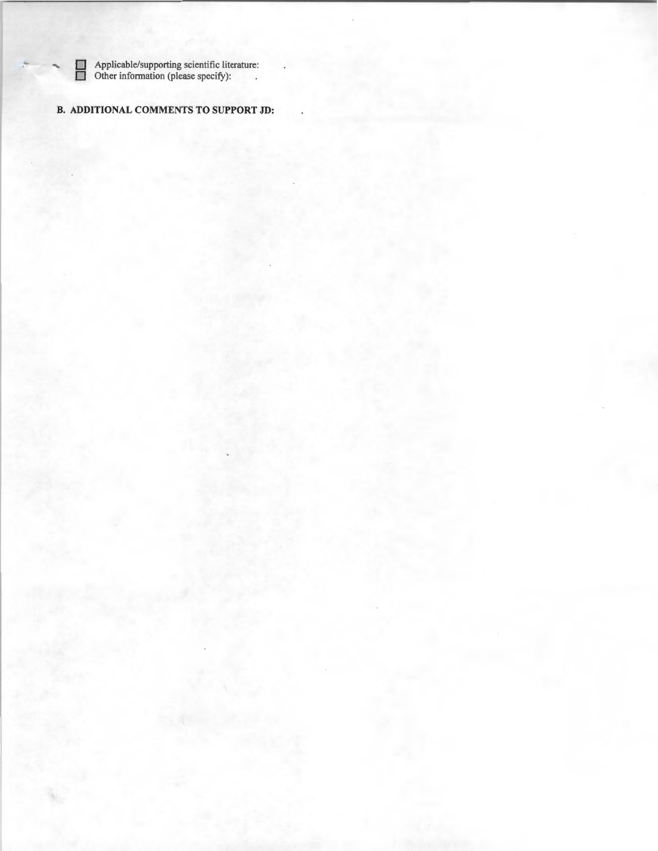**D** Applicable/supporting scientific literature: **D** Other information (please specify):

# **B. ADDITIONAL COMMENTS TO SUPPORT JD:**